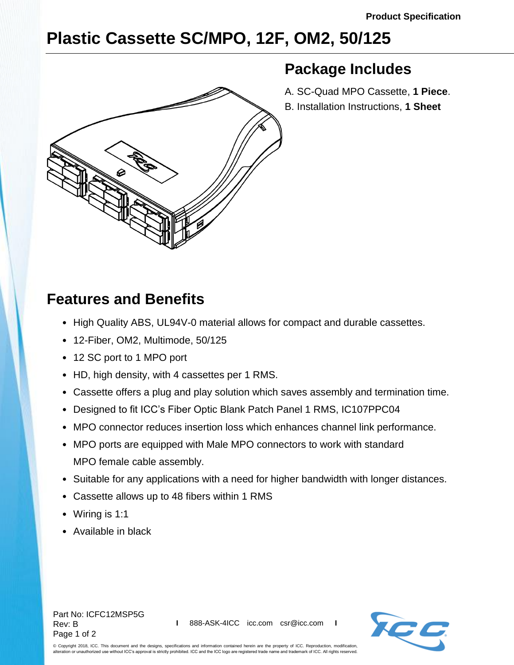**Package Includes**

A. SC-Quad MPO Cassette, **1 Piece**. B. Installation Instructions, **1 Sheet**

## **Plastic Cassette SC/MPO, 12F, OM2, 50/125**

## **Features and Benefits**

- High Quality ABS, UL94V-0 material allows for compact and durable cassettes.
- 12-Fiber, OM2, Multimode, 50/125
- 12 SC port to 1 MPO port
- HD, high density, with 4 cassettes per 1 RMS.
- Cassette offers a plug and play solution which saves assembly and termination time.
- Designed to fit ICC's Fiber Optic Blank Patch Panel 1 RMS, IC107PPC04
- MPO connector reduces insertion loss which enhances channel link performance.
- MPO ports are equipped with Male MPO connectors to work with standard MPO female cable assembly.
- Suitable for any applications with a need for higher bandwidth with longer distances.
- Cassette allows up to 48 fibers within 1 RMS
- Wiring is 1:1
- Available in black

Part No: ICFC12MSP5G Rev: B Page 1 of 2



© Copyright 2018, ICC. This document and the designs, specifications and information contained herein are the property of ICC. Reproduction, modification, alteration or unauthorized use without ICC's approval is strictly prohibited. ICC and the ICC logo are registered trade name and trademark of ICC. All rights reserved.